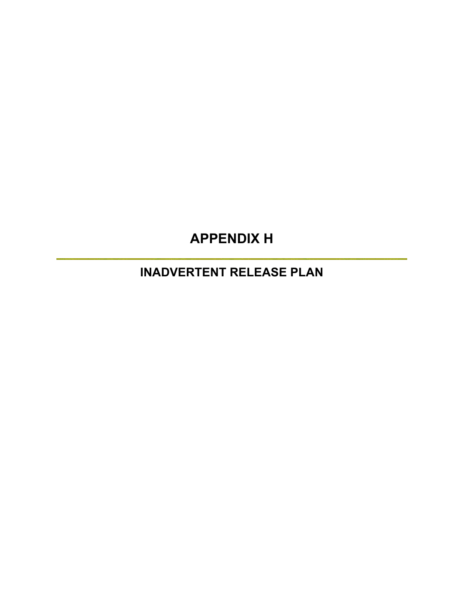# **APPENDIX H**

**INADVERTENT RELEASE PLAN**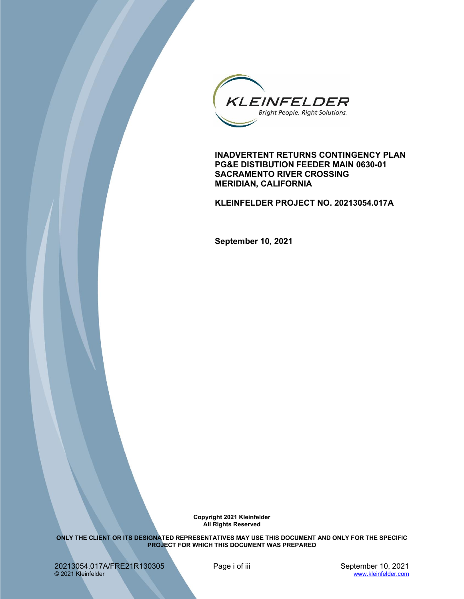

 **PG&E DISTIBUTION FEEDER MAIN 0630-01 SACRAMENTO RIVER CROSSING INADVERTENT RETURNS CONTINGENCY PLAN MERIDIAN, CALIFORNIA** 

 **KLEINFELDER PROJECT NO. 20213054.017A** 

 **September 10, 2021** 

**Copyright 2021 Kleinfelder All Rights Reserved** 

 **ONLY THE CLIENT OR ITS DESIGNATED REPRESENTATIVES MAY USE THIS DOCUMENT AND ONLY FOR THE SPECIFIC PROJECT FOR WHICH THIS DOCUMENT WAS PREPARED** 

20213054.017A/FRE21R130305 © 2021 Kleinfelder

Page i of iii September 10, 2021 www.kleinfelder.com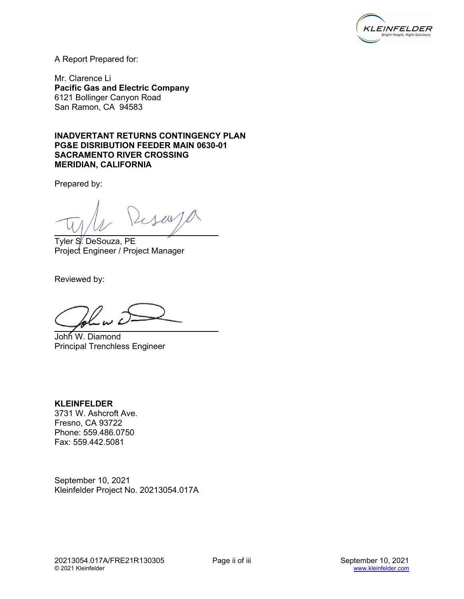

A Report Prepared for:

 Mr. Clarence Li  **Pacific Gas and Electric Company**  6121 Bollinger Canyon Road San Ramon, CA 94583

 **INADVERTANT RETURNS CONTINGENCY PLAN SACRAMENTO RIVER CROSSING PG&E DISRIBUTION FEEDER MAIN 0630-01 MERIDIAN, CALIFORNIA** 

Prepared by:

way

Tyler S. DeSouza, PE Project Engineer / Project Manager

Reviewed by:

John W. Diamond Principal Trenchless Engineer

 3731 W. Ashcroft Ave. **KLEINFELDER**  Fresno, CA 93722 Phone: 559.486.0750 Fax: 559.442.5081

 September 10, 2021 Kleinfelder Project No. 20213054.017A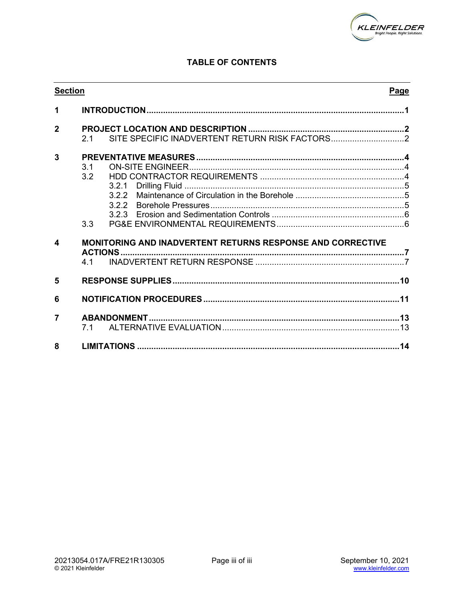

# **TABLE OF CONTENTS**

| <b>Section</b> |                                      |                                                                   | Page |
|----------------|--------------------------------------|-------------------------------------------------------------------|------|
| 1              |                                      |                                                                   |      |
| $\overline{2}$ | 2.1                                  |                                                                   |      |
| 3              | $\overline{3}1$<br>3.2<br>322<br>3.3 |                                                                   |      |
| 4              | <b>ACTIONS</b><br>41                 | <b>MONITORING AND INADVERTENT RETURNS RESPONSE AND CORRECTIVE</b> |      |
| 5              |                                      |                                                                   |      |
| 6              |                                      |                                                                   |      |
| $\overline{7}$ | 71                                   |                                                                   |      |
| 8              |                                      |                                                                   |      |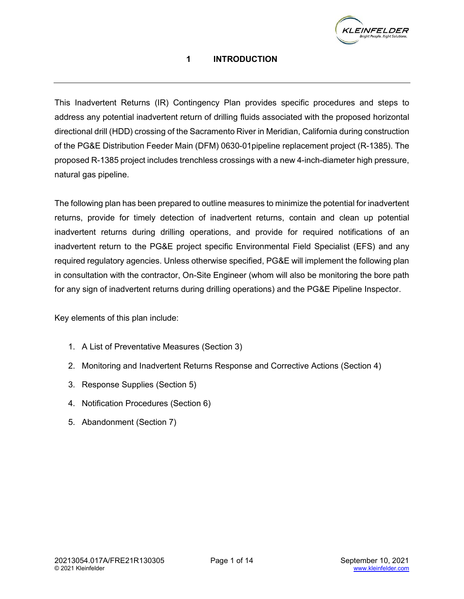

# **1 INTRODUCTION**

<span id="page-4-0"></span> This Inadvertent Returns (IR) Contingency Plan provides specific procedures and steps to of the PG&E Distribution Feeder Main (DFM) 0630-01pipeline replacement project (R-1385). The proposed R-1385 project includes trenchless crossings with a new 4-inch-diameter high pressure, natural gas pipeline. address any potential inadvertent return of drilling fluids associated with the proposed horizontal directional drill (HDD) crossing of the Sacramento River in Meridian, California during construction

 The following plan has been prepared to outline measures to minimize the potential for inadvertent returns, provide for timely detection of inadvertent returns, contain and clean up potential inadvertent returns during drilling operations, and provide for required notifications of an inadvertent return to the PG&E project specific Environmental Field Specialist (EFS) and any required regulatory agencies. Unless otherwise specified, PG&E will implement the following plan in consultation with the contractor, On-Site Engineer (whom will also be monitoring the bore path for any sign of inadvertent returns during drilling operations) and the PG&E Pipeline Inspector.

Key elements of this plan include:

- 1. A List of Preventative Measures (Section 3)
- 2. Monitoring and Inadvertent Returns Response and Corrective Actions (Section 4)
- 3. Response Supplies (Section 5)
- 4. Notification Procedures (Section 6)
- 5. Abandonment (Section 7)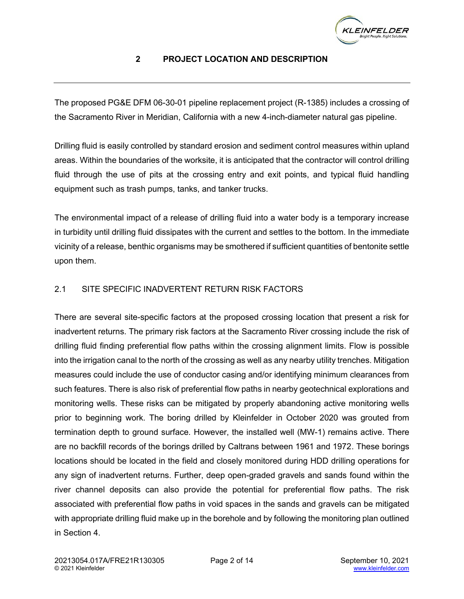

# **2 PROJECT LOCATION AND DESCRIPTION**

<span id="page-5-0"></span> The proposed PG&E DFM 06-30-01 pipeline replacement project (R-1385) includes a crossing of the Sacramento River in Meridian, California with a new 4-inch-diameter natural gas pipeline.

 Drilling fluid is easily controlled by standard erosion and sediment control measures within upland areas. Within the boundaries of the worksite, it is anticipated that the contractor will control drilling fluid through the use of pits at the crossing entry and exit points, and typical fluid handling equipment such as trash pumps, tanks, and tanker trucks.

 The environmental impact of a release of drilling fluid into a water body is a temporary increase in turbidity until drilling fluid dissipates with the current and settles to the bottom. In the immediate vicinity of a release, benthic organisms may be smothered if sufficient quantities of bentonite settle upon them.

# <span id="page-5-1"></span>2.1 SITE SPECIFIC INADVERTENT RETURN RISK FACTORS

 There are several site-specific factors at the proposed crossing location that present a risk for inadvertent returns. The primary risk factors at the Sacramento River crossing include the risk of drilling fluid finding preferential flow paths within the crossing alignment limits. Flow is possible into the irrigation canal to the north of the crossing as well as any nearby utility trenches. Mitigation measures could include the use of conductor casing and/or identifying minimum clearances from such features. There is also risk of preferential flow paths in nearby geotechnical explorations and prior to beginning work. The boring drilled by Kleinfelder in October 2020 was grouted from termination depth to ground surface. However, the installed well (MW-1) remains active. There are no backfill records of the borings drilled by Caltrans between 1961 and 1972. These borings locations should be located in the field and closely monitored during HDD drilling operations for any sign of inadvertent returns. Further, deep open-graded gravels and sands found within the river channel deposits can also provide the potential for preferential flow paths. The risk associated with preferential flow paths in void spaces in the sands and gravels can be mitigated with appropriate drilling fluid make up in the borehole and by following the monitoring plan outlined monitoring wells. These risks can be mitigated by properly abandoning active monitoring wells in Section 4.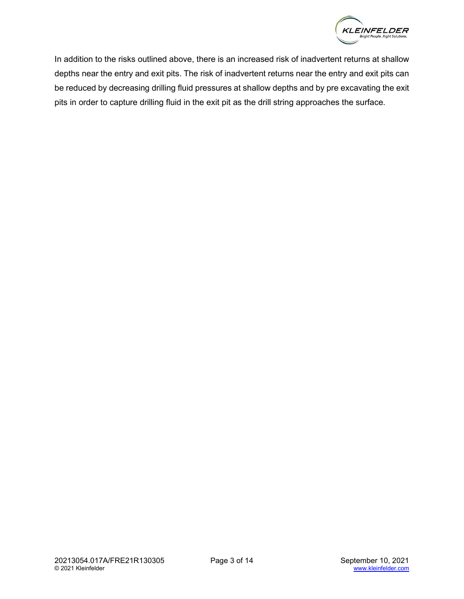

 In addition to the risks outlined above, there is an increased risk of inadvertent returns at shallow depths near the entry and exit pits. The risk of inadvertent returns near the entry and exit pits can be reduced by decreasing drilling fluid pressures at shallow depths and by pre excavating the exit pits in order to capture drilling fluid in the exit pit as the drill string approaches the surface.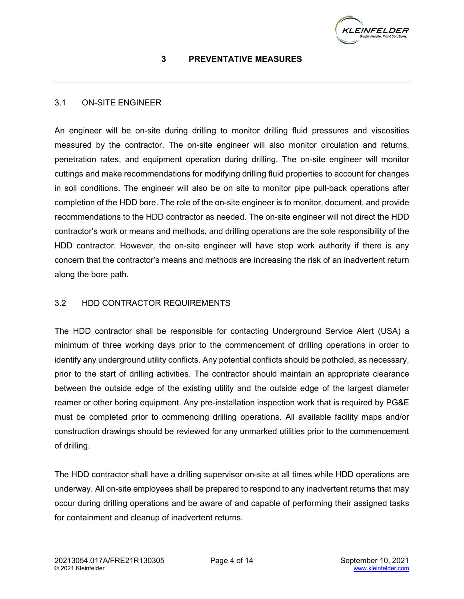

## **3 PREVENTATIVE MEASURES**

#### <span id="page-7-1"></span><span id="page-7-0"></span>3.1 ON-SITE ENGINEER

 An engineer will be on-site during drilling to monitor drilling fluid pressures and viscosities measured by the contractor. The on-site engineer will also monitor circulation and returns, penetration rates, and equipment operation during drilling. The on-site engineer will monitor cuttings and make recommendations for modifying drilling fluid properties to account for changes in soil conditions. The engineer will also be on site to monitor pipe pull-back operations after completion of the HDD bore. The role of the on-site engineer is to monitor, document, and provide recommendations to the HDD contractor as needed. The on-site engineer will not direct the HDD contractor's work or means and methods, and drilling operations are the sole responsibility of the HDD contractor. However, the on-site engineer will have stop work authority if there is any concern that the contractor's means and methods are increasing the risk of an inadvertent return along the bore path.

#### <span id="page-7-2"></span>3.2 HDD CONTRACTOR REQUIREMENTS

 The HDD contractor shall be responsible for contacting Underground Service Alert (USA) a minimum of three working days prior to the commencement of drilling operations in order to identify any underground utility conflicts. Any potential conflicts should be potholed, as necessary, prior to the start of drilling activities. The contractor should maintain an appropriate clearance between the outside edge of the existing utility and the outside edge of the largest diameter reamer or other boring equipment. Any pre-installation inspection work that is required by PG&E must be completed prior to commencing drilling operations. All available facility maps and/or construction drawings should be reviewed for any unmarked utilities prior to the commencement of drilling.

 The HDD contractor shall have a drilling supervisor on-site at all times while HDD operations are underway. All on-site employees shall be prepared to respond to any inadvertent returns that may occur during drilling operations and be aware of and capable of performing their assigned tasks for containment and cleanup of inadvertent returns.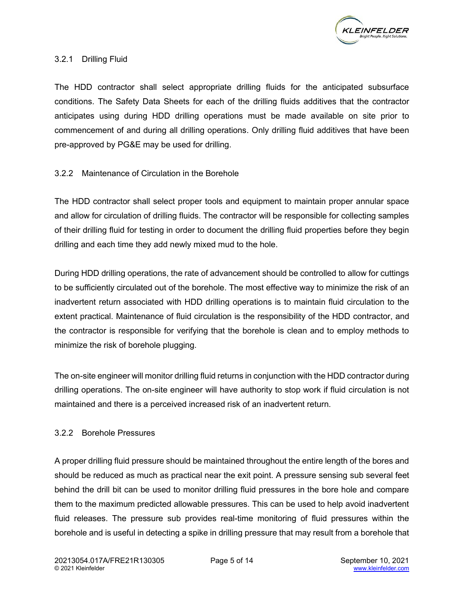

#### <span id="page-8-0"></span>3.2.1 Drilling Fluid

 The HDD contractor shall select appropriate drilling fluids for the anticipated subsurface conditions. The Safety Data Sheets for each of the drilling fluids additives that the contractor anticipates using during HDD drilling operations must be made available on site prior to commencement of and during all drilling operations. Only drilling fluid additives that have been pre-approved by PG&E may be used for drilling.

#### <span id="page-8-1"></span>3.2.2 Maintenance of Circulation in the Borehole

 The HDD contractor shall select proper tools and equipment to maintain proper annular space and allow for circulation of drilling fluids. The contractor will be responsible for collecting samples of their drilling fluid for testing in order to document the drilling fluid properties before they begin drilling and each time they add newly mixed mud to the hole.

 During HDD drilling operations, the rate of advancement should be controlled to allow for cuttings to be sufficiently circulated out of the borehole. The most effective way to minimize the risk of an inadvertent return associated with HDD drilling operations is to maintain fluid circulation to the extent practical. Maintenance of fluid circulation is the responsibility of the HDD contractor, and the contractor is responsible for verifying that the borehole is clean and to employ methods to minimize the risk of borehole plugging.

 The on-site engineer will monitor drilling fluid returns in conjunction with the HDD contractor during drilling operations. The on-site engineer will have authority to stop work if fluid circulation is not maintained and there is a perceived increased risk of an inadvertent return.

#### <span id="page-8-2"></span>3.2.2 Borehole Pressures

 A proper drilling fluid pressure should be maintained throughout the entire length of the bores and should be reduced as much as practical near the exit point. A pressure sensing sub several feet behind the drill bit can be used to monitor drilling fluid pressures in the bore hole and compare them to the maximum predicted allowable pressures. This can be used to help avoid inadvertent fluid releases. The pressure sub provides real-time monitoring of fluid pressures within the borehole and is useful in detecting a spike in drilling pressure that may result from a borehole that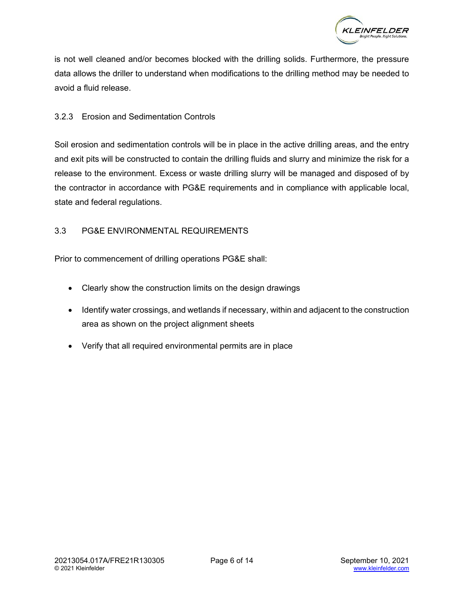

 is not well cleaned and/or becomes blocked with the drilling solids. Furthermore, the pressure data allows the driller to understand when modifications to the drilling method may be needed to avoid a fluid release.

#### <span id="page-9-0"></span>3.2.3 Erosion and Sedimentation Controls

 Soil erosion and sedimentation controls will be in place in the active drilling areas, and the entry and exit pits will be constructed to contain the drilling fluids and slurry and minimize the risk for a release to the environment. Excess or waste drilling slurry will be managed and disposed of by the contractor in accordance with PG&E requirements and in compliance with applicable local, state and federal regulations.

## <span id="page-9-1"></span>3.3 PG&E ENVIRONMENTAL REQUIREMENTS

Prior to commencement of drilling operations PG&E shall:

- Clearly show the construction limits on the design drawings
- • Identify water crossings, and wetlands if necessary, within and adjacent to the construction area as shown on the project alignment sheets
- Verify that all required environmental permits are in place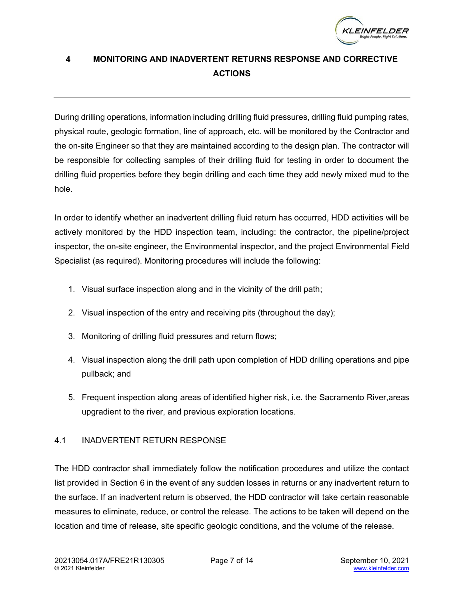

# <span id="page-10-0"></span> **4 MONITORING AND INADVERTENT RETURNS RESPONSE AND CORRECTIVE ACTIONS**

 During drilling operations, information including drilling fluid pressures, drilling fluid pumping rates, physical route, geologic formation, line of approach, etc. will be monitored by the Contractor and the on-site Engineer so that they are maintained according to the design plan. The contractor will be responsible for collecting samples of their drilling fluid for testing in order to document the drilling fluid properties before they begin drilling and each time they add newly mixed mud to the hole.

 In order to identify whether an inadvertent drilling fluid return has occurred, HDD activities will be actively monitored by the HDD inspection team, including: the contractor, the pipeline/project inspector, the on-site engineer, the Environmental inspector, and the project Environmental Field Specialist (as required). Monitoring procedures will include the following:

- 1. Visual surface inspection along and in the vicinity of the drill path;
- 2. Visual inspection of the entry and receiving pits (throughout the day);
- 3. Monitoring of drilling fluid pressures and return flows;
- 4. Visual inspection along the drill path upon completion of HDD drilling operations and pipe pullback; and
- 5. Frequent inspection along areas of identified higher risk, i.e. the Sacramento River,areas upgradient to the river, and previous exploration locations.

# <span id="page-10-1"></span>4.1 INADVERTENT RETURN RESPONSE

 The HDD contractor shall immediately follow the notification procedures and utilize the contact list provided in Section 6 in the event of any sudden losses in returns or any inadvertent return to the surface. If an inadvertent return is observed, the HDD contractor will take certain reasonable measures to eliminate, reduce, or control the release. The actions to be taken will depend on the location and time of release, site specific geologic conditions, and the volume of the release.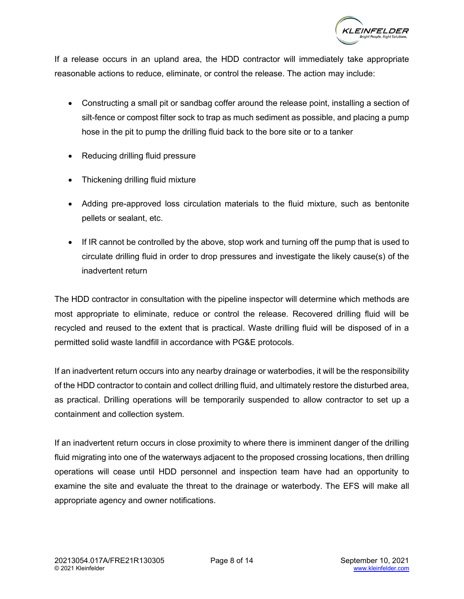

 If a release occurs in an upland area, the HDD contractor will immediately take appropriate reasonable actions to reduce, eliminate, or control the release. The action may include:

- • Constructing a small pit or sandbag coffer around the release point, installing a section of silt-fence or compost filter sock to trap as much sediment as possible, and placing a pump hose in the pit to pump the drilling fluid back to the bore site or to a tanker
- Reducing drilling fluid pressure
- Thickening drilling fluid mixture
- Adding pre-approved loss circulation materials to the fluid mixture, such as bentonite pellets or sealant, etc.
- • If IR cannot be controlled by the above, stop work and turning off the pump that is used to circulate drilling fluid in order to drop pressures and investigate the likely cause(s) of the inadvertent return

 The HDD contractor in consultation with the pipeline inspector will determine which methods are most appropriate to eliminate, reduce or control the release. Recovered drilling fluid will be recycled and reused to the extent that is practical. Waste drilling fluid will be disposed of in a permitted solid waste landfill in accordance with PG&E protocols.

 If an inadvertent return occurs into any nearby drainage or waterbodies, it will be the responsibility of the HDD contractor to contain and collect drilling fluid, and ultimately restore the disturbed area, as practical. Drilling operations will be temporarily suspended to allow contractor to set up a containment and collection system.

 If an inadvertent return occurs in close proximity to where there is imminent danger of the drilling fluid migrating into one of the waterways adjacent to the proposed crossing locations, then drilling operations will cease until HDD personnel and inspection team have had an opportunity to examine the site and evaluate the threat to the drainage or waterbody. The EFS will make all appropriate agency and owner notifications.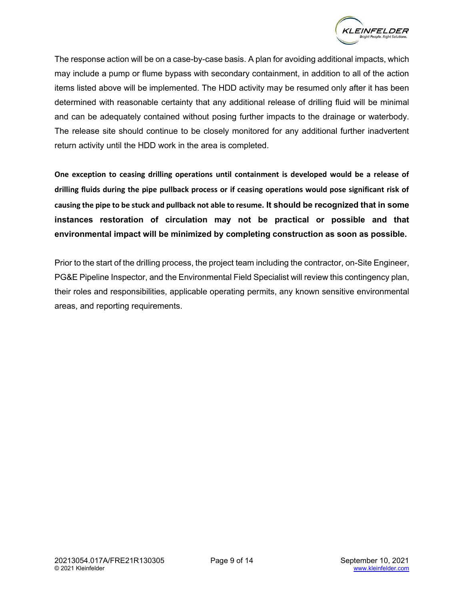

 The response action will be on a case-by-case basis. A plan for avoiding additional impacts, which may include a pump or flume bypass with secondary containment, in addition to all of the action items listed above will be implemented. The HDD activity may be resumed only after it has been determined with reasonable certainty that any additional release of drilling fluid will be minimal and can be adequately contained without posing further impacts to the drainage or waterbody. The release site should continue to be closely monitored for any additional further inadvertent return activity until the HDD work in the area is completed.

 **One exception to ceasing drilling operations until containment is developed would be a release of drilling fluids during the pipe pullback process or if ceasing operations would pose significant risk of causing the pipe to be stuck and pullback not able to resume. It should be recognized that in some instances restoration of circulation may not be practical or possible and that environmental impact will be minimized by completing construction as soon as possible.** 

 Prior to the start of the drilling process, the project team including the contractor, on-Site Engineer, PG&E Pipeline Inspector, and the Environmental Field Specialist will review this contingency plan, their roles and responsibilities, applicable operating permits, any known sensitive environmental areas, and reporting requirements.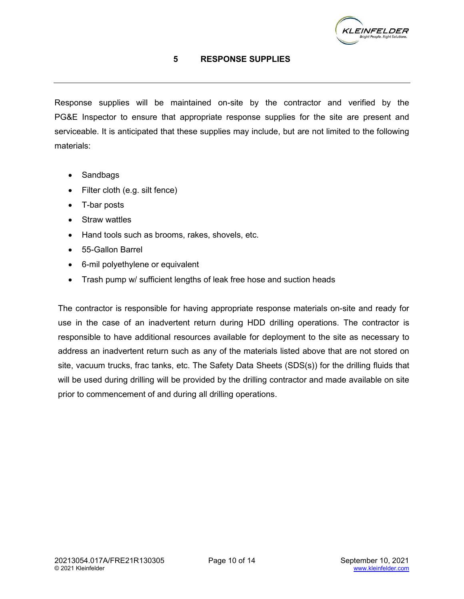

#### **5 RESPONSE SUPPLIES**

<span id="page-13-0"></span> Response supplies will be maintained on-site by the contractor and verified by the PG&E Inspector to ensure that appropriate response supplies for the site are present and serviceable. It is anticipated that these supplies may include, but are not limited to the following materials:

- Sandbags
- Filter cloth (e.g. silt fence)
- T-bar posts
- Straw wattles
- Hand tools such as brooms, rakes, shovels, etc.
- 55-Gallon Barrel
- 6-mil polyethylene or equivalent
- Trash pump w/ sufficient lengths of leak free hose and suction heads

 The contractor is responsible for having appropriate response materials on-site and ready for use in the case of an inadvertent return during HDD drilling operations. The contractor is responsible to have additional resources available for deployment to the site as necessary to address an inadvertent return such as any of the materials listed above that are not stored on site, vacuum trucks, frac tanks, etc. The Safety Data Sheets (SDS(s)) for the drilling fluids that will be used during drilling will be provided by the drilling contractor and made available on site prior to commencement of and during all drilling operations.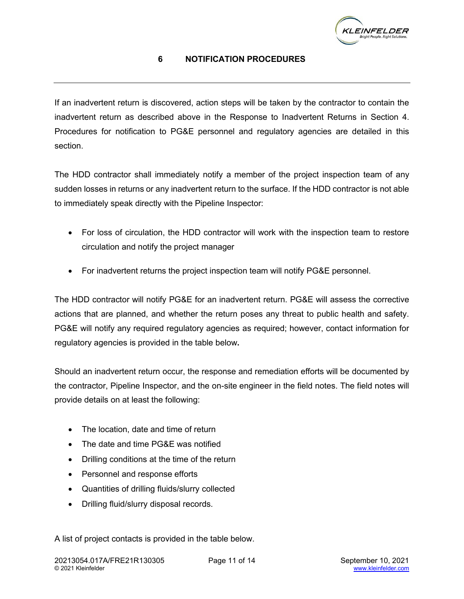

# **6 NOTIFICATION PROCEDURES**

<span id="page-14-0"></span> If an inadvertent return is discovered, action steps will be taken by the contractor to contain the inadvertent return as described above in the Response to Inadvertent Returns in Section 4. Procedures for notification to PG&E personnel and regulatory agencies are detailed in this section.

 The HDD contractor shall immediately notify a member of the project inspection team of any sudden losses in returns or any inadvertent return to the surface. If the HDD contractor is not able to immediately speak directly with the Pipeline Inspector:

- • For loss of circulation, the HDD contractor will work with the inspection team to restore circulation and notify the project manager
- For inadvertent returns the project inspection team will notify PG&E personnel.

 The HDD contractor will notify PG&E for an inadvertent return. PG&E will assess the corrective actions that are planned, and whether the return poses any threat to public health and safety. PG&E will notify any required regulatory agencies as required; however, contact information for regulatory agencies is provided in the table below**.** 

 Should an inadvertent return occur, the response and remediation efforts will be documented by the contractor, Pipeline Inspector, and the on-site engineer in the field notes. The field notes will provide details on at least the following:

- The location, date and time of return
- The date and time PG&E was notified
- Drilling conditions at the time of the return
- Personnel and response efforts
- Quantities of drilling fluids/slurry collected
- Drilling fluid/slurry disposal records.

A list of project contacts is provided in the table below.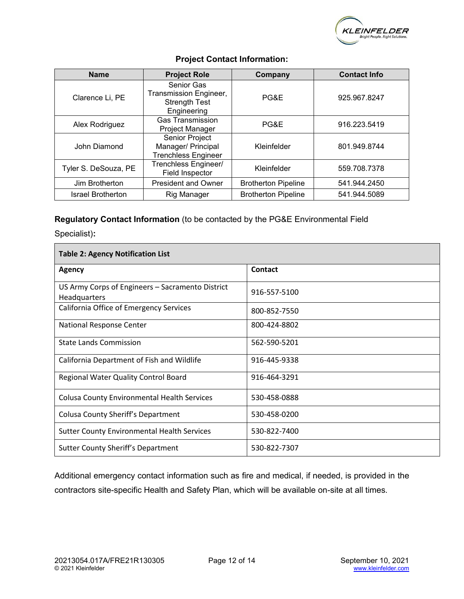

| <b>Name</b>              | <b>Project Role</b>                                                                | Company                    | <b>Contact Info</b> |
|--------------------------|------------------------------------------------------------------------------------|----------------------------|---------------------|
| Clarence Li, PE          | <b>Senior Gas</b><br>Transmission Engineer,<br><b>Strength Test</b><br>Engineering | PG&E                       | 925.967.8247        |
| Alex Rodriguez           | <b>Gas Transmission</b><br>Project Manager                                         | PG&E                       | 916.223.5419        |
| John Diamond             | Senior Project<br>Manager/ Principal<br><b>Trenchless Engineer</b>                 | Kleinfelder                | 801.949.8744        |
| Tyler S. DeSouza, PE     | Trenchless Engineer/<br>Field Inspector                                            | Kleinfelder                | 559.708.7378        |
| Jim Brotherton           | <b>President and Owner</b>                                                         | <b>Brotherton Pipeline</b> | 541.944.2450        |
| <b>Israel Brotherton</b> | Rig Manager                                                                        | <b>Brotherton Pipeline</b> | 541.944.5089        |

#### **Project Contact Information:**

#### **Regulatory Contact Information** (to be contacted by the PG&E Environmental Field

Specialist)**:** 

Г

| <b>Table 2: Agency Notification List</b>                         |                |  |  |  |
|------------------------------------------------------------------|----------------|--|--|--|
| Agency                                                           | <b>Contact</b> |  |  |  |
| US Army Corps of Engineers - Sacramento District<br>Headquarters | 916-557-5100   |  |  |  |
| California Office of Emergency Services                          | 800-852-7550   |  |  |  |
| National Response Center                                         | 800-424-8802   |  |  |  |
| <b>State Lands Commission</b>                                    | 562-590-5201   |  |  |  |
| California Department of Fish and Wildlife                       | 916-445-9338   |  |  |  |
| Regional Water Quality Control Board                             | 916-464-3291   |  |  |  |
| <b>Colusa County Environmental Health Services</b>               | 530-458-0888   |  |  |  |
| Colusa County Sheriff's Department                               | 530-458-0200   |  |  |  |
| <b>Sutter County Environmental Health Services</b>               | 530-822-7400   |  |  |  |
| Sutter County Sheriff's Department                               | 530-822-7307   |  |  |  |

 Additional emergency contact information such as fire and medical, if needed, is provided in the contractors site-specific Health and Safety Plan, which will be available on-site at all times.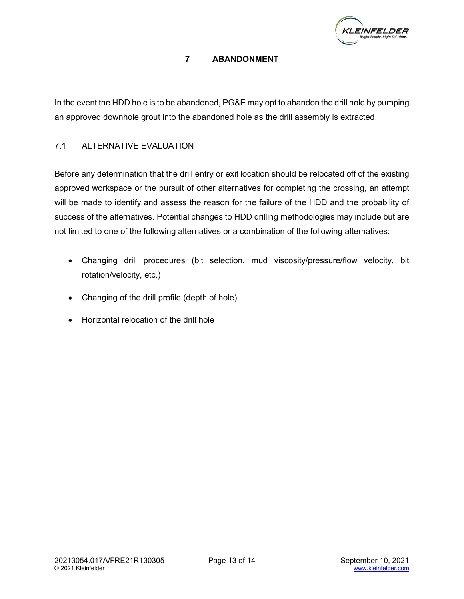

# **7 ABANDONMENT**

<span id="page-16-0"></span> In the event the HDD hole is to be abandoned, PG&E may opt to abandon the drill hole by pumping an approved downhole grout into the abandoned hole as the drill assembly is extracted.

# <span id="page-16-1"></span>7.1 ALTERNATIVE EVALUATION

 Before any determination that the drill entry or exit location should be relocated off of the existing approved workspace or the pursuit of other alternatives for completing the crossing, an attempt will be made to identify and assess the reason for the failure of the HDD and the probability of success of the alternatives. Potential changes to HDD drilling methodologies may include but are not limited to one of the following alternatives or a combination of the following alternatives:

- • Changing drill procedures (bit selection, mud viscosity/pressure/flow velocity, bit rotation/velocity, etc.)
- Changing of the drill profile (depth of hole)
- Horizontal relocation of the drill hole